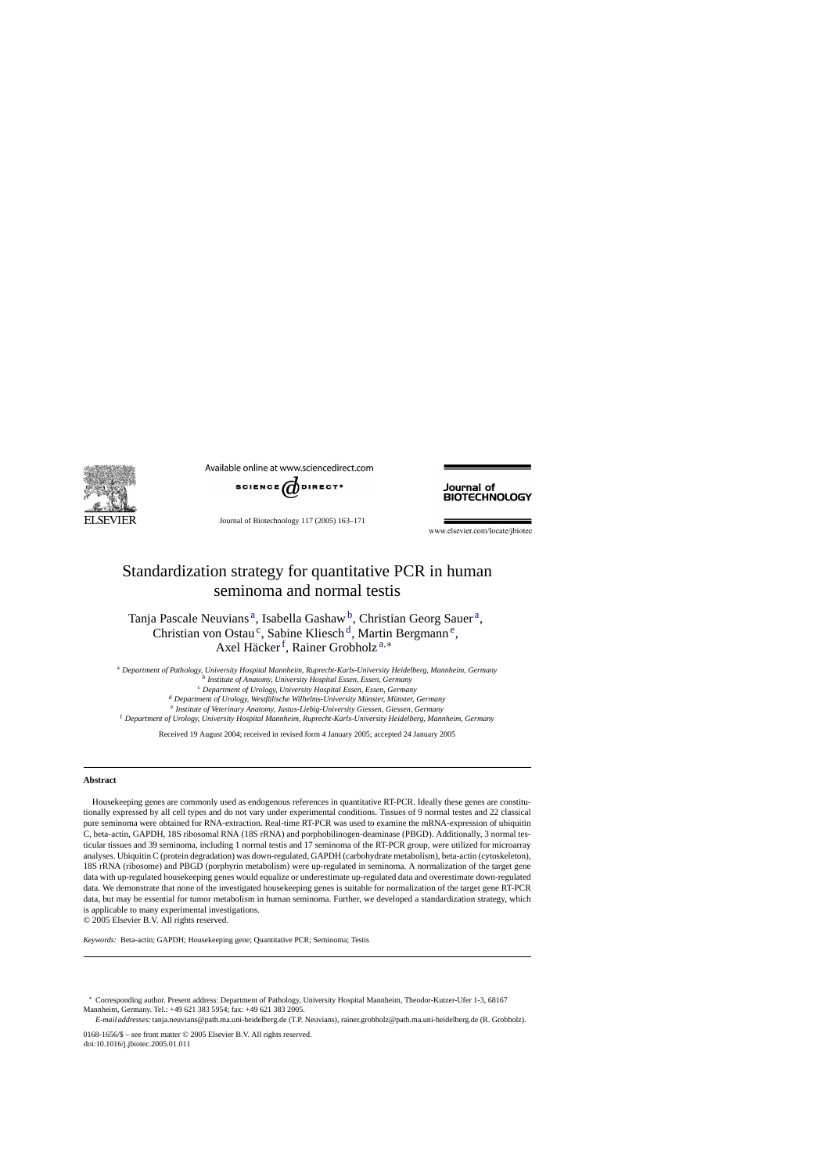

Available online at www.sciencedirect.com



Journal of Biotechnology 117 (2005) 163–171

Journal of **BIOTECHNOLOGY** 

www.elsevier.com/locate/jbiotec

# Standardization strategy for quantitative PCR in human seminoma and normal testis

# Tanja Pascale Neuvians<sup>a</sup>, Isabella Gashaw<sup>b</sup>, Christian Georg Sauer<sup>a</sup>, Christian von Ostau<sup>c</sup>, Sabine Kliesch<sup>d</sup>, Martin Bergmann<sup>e</sup>, Axel Häcker<sup>f</sup>, Rainer Grobholz<sup>a,\*</sup>

<sup>a</sup> *Department of Pathology, University Hospital Mannheim, Ruprecht-Karls-University Heidelberg, Mannheim, Germany* <sup>b</sup> *Institute of Anatomy, University Hospital Essen, Essen, Germany* <sup>c</sup> *Department of Urology, University Hospital Essen, Essen, Germany* <sup>d</sup> Department of Urology, Westfälische Wilhelms-University Münster, Münster, Germany <sup>e</sup> *Institute of Veterinary Anatomy, Justus-Liebig-University Giessen, Giessen, Germany* <sup>f</sup> *Department of Urology, University Hospital Mannheim, Ruprecht-Karls-University Heidelberg, Mannheim, Germany*

Received 19 August 2004; received in revised form 4 January 2005; accepted 24 January 2005

#### **Abstract**

Housekeeping genes are commonly used as endogenous references in quantitative RT-PCR. Ideally these genes are constitutionally expressed by all cell types and do not vary under experimental conditions. Tissues of 9 normal testes and 22 classical pure seminoma were obtained for RNA-extraction. Real-time RT-PCR was used to examine the mRNA-expression of ubiquitin C, beta-actin, GAPDH, 18S ribosomal RNA (18S rRNA) and porphobilinogen-deaminase (PBGD). Additionally, 3 normal testicular tissues and 39 seminoma, including 1 normal testis and 17 seminoma of the RT-PCR group, were utilized for microarray analyses. Ubiquitin C (protein degradation) was down-regulated, GAPDH (carbohydrate metabolism), beta-actin (cytoskeleton), 18S rRNA (ribosome) and PBGD (porphyrin metabolism) were up-regulated in seminoma. A normalization of the target gene data with up-regulated housekeeping genes would equalize or underestimate up-regulated data and overestimate down-regulated data. We demonstrate that none of the investigated housekeeping genes is suitable for normalization of the target gene RT-PCR data, but may be essential for tumor metabolism in human seminoma. Further, we developed a standardization strategy, which is applicable to many experimental investigations.

© 2005 Elsevier B.V. All rights reserved.

*Keywords:* Beta-actin; GAPDH; Housekeeping gene; Quantitative PCR; Seminoma; Testis

∗ Corresponding author. Present address: Department of Pathology, University Hospital Mannheim, Theodor-Kutzer-Ufer 1-3, 68167 Mannheim, Germany. Tel.: +49 621 383 5954; fax: +49 621 383 2005.

*E-mail addresses:*tanja.neuvians@path.ma.uni-heidelberg.de (T.P. Neuvians), rainer.grobholz@path.ma.uni-heidelberg.de (R. Grobholz).

0168-1656/\$ – see front matter © 2005 Elsevier B.V. All rights reserved. doi:10.1016/j.jbiotec.2005.01.011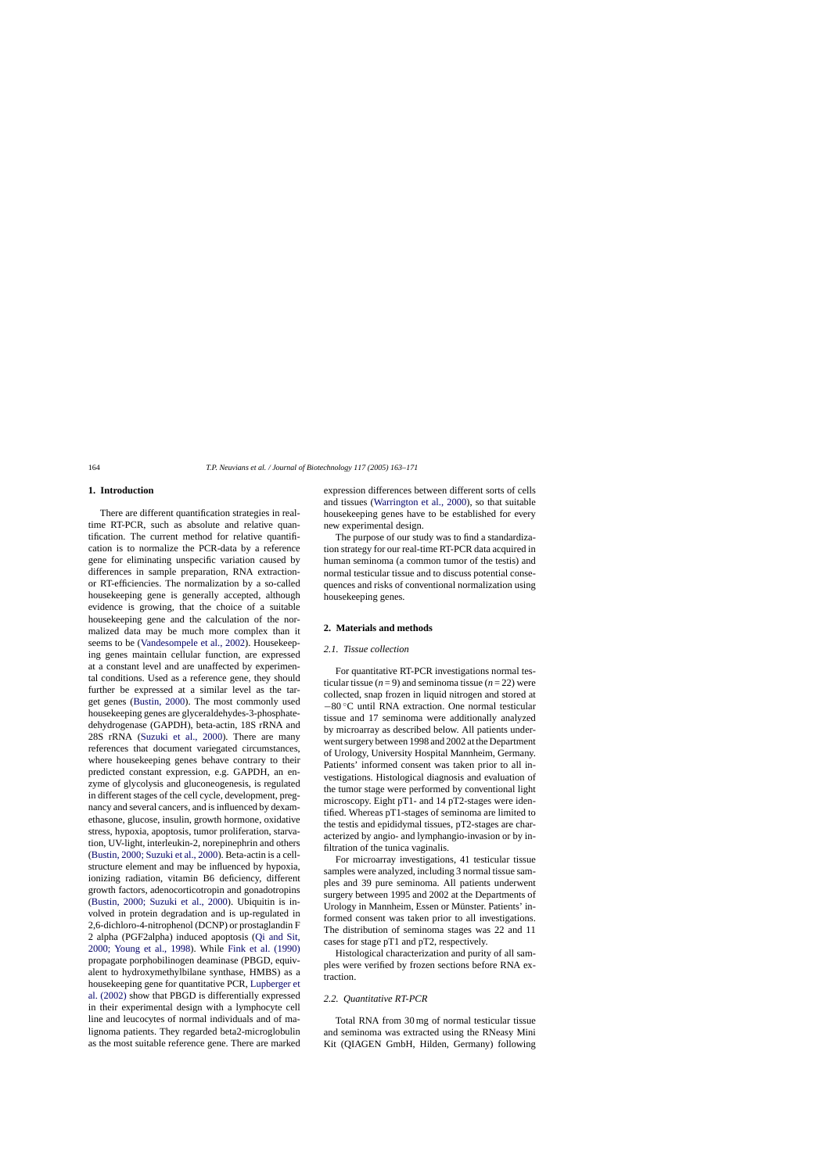# **1. Introduction**

There are different quantification strategies in realtime RT-PCR, such as absolute and relative quantification. The current method for relative quantification is to normalize the PCR-data by a reference gene for eliminating unspecific variation caused by differences in sample preparation, RNA extractionor RT-efficiencies. The normalization by a so-called housekeeping gene is generally accepted, although evidence is growing, that the choice of a suitable housekeeping gene and the calculation of the normalized data may be much more complex than it seems to be ([Vandesompele et al., 2002\).](#page-8-0) Housekeeping genes maintain cellular function, are expressed at a constant level and are unaffected by experimental conditions. Used as a reference gene, they should further be expressed at a similar level as the target genes [\(Bustin, 2000\)](#page-7-0). The most commonly used housekeeping genes are glyceraldehydes-3-phosphatedehydrogenase (GAPDH), beta-actin, 18S rRNA and 28S rRNA ([Suzuki et al., 2000](#page-8-0)). There are many references that document variegated circumstances, where housekeeping genes behave contrary to their predicted constant expression, e.g. GAPDH, an enzyme of glycolysis and gluconeogenesis, is regulated in different stages of the cell cycle, development, pregnancy and several cancers, and is influenced by dexamethasone, glucose, insulin, growth hormone, oxidative stress, hypoxia, apoptosis, tumor proliferation, starvation, UV-light, interleukin-2, norepinephrin and others ([Bustin, 2000; Suzuki et al., 2000\).](#page-7-0) Beta-actin is a cellstructure element and may be influenced by hypoxia, ionizing radiation, vitamin B6 deficiency, different growth factors, adenocorticotropin and gonadotropins ([Bustin, 2000; Suzuki et al., 2000](#page-7-0)). Ubiquitin is involved in protein degradation and is up-regulated in 2,6-dichloro-4-nitrophenol (DCNP) or prostaglandin F 2 alpha (PGF2alpha) induced apoptosis [\(Qi and Sit,](#page-8-0) [2000; Young et al., 1998](#page-8-0)). While [Fink et al. \(1990\)](#page-7-0) propagate porphobilinogen deaminase (PBGD, equivalent to hydroxymethylbilane synthase, HMBS) as a housekeeping gene for quantitative PCR, [Lupberger et](#page-7-0) [al. \(2002\)](#page-7-0) show that PBGD is differentially expressed in their experimental design with a lymphocyte cell line and leucocytes of normal individuals and of malignoma patients. They regarded beta2-microglobulin as the most suitable reference gene. There are marked expression differences between different sorts of cells and tissues [\(Warrington et al., 2000\)](#page-8-0), so that suitable housekeeping genes have to be established for every new experimental design.

The purpose of our study was to find a standardization strategy for our real-time RT-PCR data acquired in human seminoma (a common tumor of the testis) and normal testicular tissue and to discuss potential consequences and risks of conventional normalization using housekeeping genes.

# **2. Materials and methods**

# *2.1. Tissue collection*

For quantitative RT-PCR investigations normal testicular tissue  $(n=9)$  and seminoma tissue  $(n=22)$  were collected, snap frozen in liquid nitrogen and stored at −80 ◦C until RNA extraction. One normal testicular tissue and 17 seminoma were additionally analyzed by microarray as described below. All patients underwent surgery between 1998 and 2002 at the Department of Urology, University Hospital Mannheim, Germany. Patients' informed consent was taken prior to all investigations. Histological diagnosis and evaluation of the tumor stage were performed by conventional light microscopy. Eight pT1- and 14 pT2-stages were identified. Whereas pT1-stages of seminoma are limited to the testis and epididymal tissues, pT2-stages are characterized by angio- and lymphangio-invasion or by infiltration of the tunica vaginalis.

For microarray investigations, 41 testicular tissue samples were analyzed, including 3 normal tissue samples and 39 pure seminoma. All patients underwent surgery between 1995 and 2002 at the Departments of Urology in Mannheim, Essen or Münster. Patients' informed consent was taken prior to all investigations. The distribution of seminoma stages was 22 and 11 cases for stage pT1 and pT2, respectively.

Histological characterization and purity of all samples were verified by frozen sections before RNA extraction.

## *2.2. Quantitative RT-PCR*

Total RNA from 30 mg of normal testicular tissue and seminoma was extracted using the RNeasy Mini Kit (QIAGEN GmbH, Hilden, Germany) following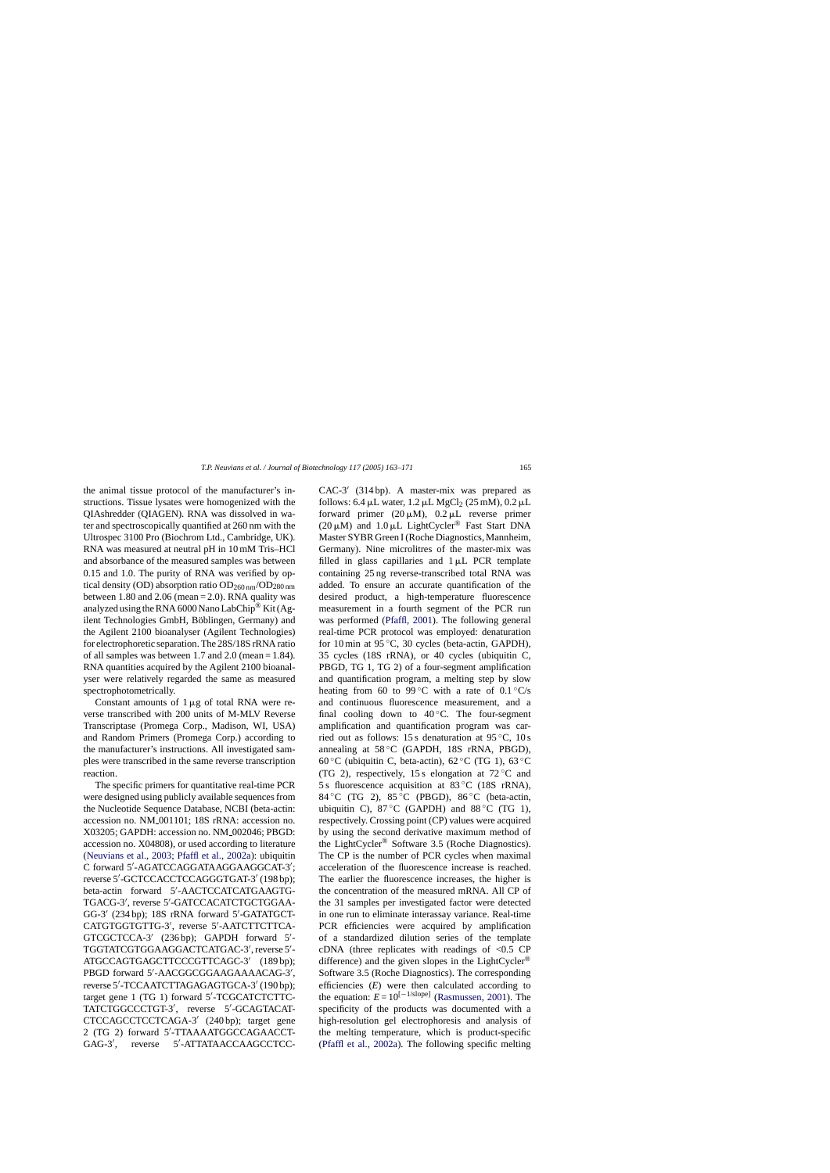*T.P. Neuvians et al. / Journal of Biotechnology 117 (2005) 163–171* 165

the animal tissue protocol of the manufacturer's instructions. Tissue lysates were homogenized with the QIAshredder (QIAGEN). RNA was dissolved in water and spectroscopically quantified at 260 nm with the Ultrospec 3100 Pro (Biochrom Ltd., Cambridge, UK). RNA was measured at neutral pH in 10 mM Tris–HCl and absorbance of the measured samples was between 0.15 and 1.0. The purity of RNA was verified by optical density (OD) absorption ratio  $OD_{260 \text{ nm}}/OD_{280 \text{ nm}}$ between 1.80 and 2.06 (mean  $= 2.0$ ). RNA quality was analyzed using the RNA 6000 Nano LabChip<sup>®</sup> Kit (Agilent Technologies GmbH, Böblingen, Germany) and the Agilent 2100 bioanalyser (Agilent Technologies) for electrophoretic separation. The 28S/18S rRNA ratio of all samples was between 1.7 and 2.0 (mean  $= 1.84$ ). RNA quantities acquired by the Agilent 2100 bioanalyser were relatively regarded the same as measured spectrophotometrically.

Constant amounts of  $1 \mu g$  of total RNA were reverse transcribed with 200 units of M-MLV Reverse Transcriptase (Promega Corp., Madison, WI, USA) and Random Primers (Promega Corp.) according to the manufacturer's instructions. All investigated samples were transcribed in the same reverse transcription reaction.

The specific primers for quantitative real-time PCR were designed using publicly available sequences from the Nucleotide Sequence Database, NCBI (beta-actin: accession no. NM 001101; 18S rRNA: accession no. X03205; GAPDH: accession no. NM 002046; PBGD: accession no. X04808), or used according to literature ([Neuvians et al., 2003; Pfaffl et al., 2002a\)](#page-7-0): ubiquitin C forward 5'-AGATCCAGGATAAGGAAGGCAT-3'; reverse 5'-GCTCCACCTCCAGGGTGAT-3' (198 bp); beta-actin forward 5 -AACTCCATCATGAAGTG-TGACG-3 , reverse 5 -GATCCACATCTGCTGGAA-GG-3' (234 bp); 18S rRNA forward 5'-GATATGCT-CATGTGGTGTTG-3 , reverse 5 -AATCTTCTTCA-GTCGCTCCA-3' (236 bp); GAPDH forward 5'-TGGTATCGTGGAAGGACTCATGAC-3 , reverse 5 - ATGCCAGTGAGCTTCCCGTTCAGC-3' (189 bp); PBGD forward 5'-AACGGCGGAAGAAAACAG-3', reverse 5'-TCCAATCTTAGAGAGTGCA-3' (190 bp); target gene 1 (TG 1) forward 5'-TCGCATCTCTTC-TATCTGGCCCTGT-3 , reverse 5 -GCAGTACAT-CTCCAGCCTCCTCAGA-3 (240 bp); target gene 2 (TG 2) forward 5 -TTAAAATGGCCAGAACCT- $GAG-3'$ . reverse -ATTATAACCAAGCCTCC-

CAC-3' (314 bp). A master-mix was prepared as follows:  $6.4 \mu L$  water,  $1.2 \mu L$  MgCl<sub>2</sub> ( $25 \text{ mM}$ ),  $0.2 \mu L$ forward primer  $(20 \mu M)$ ,  $0.2 \mu L$  reverse primer (20  $\mu$ M) and 1.0  $\mu$ L LightCycler<sup>®</sup> Fast Start DNA Master SYBR Green I (Roche Diagnostics, Mannheim, Germany). Nine microlitres of the master-mix was filled in glass capillaries and  $1 \mu L$  PCR template containing 25 ng reverse-transcribed total RNA was added. To ensure an accurate quantification of the desired product, a high-temperature fluorescence measurement in a fourth segment of the PCR run was performed [\(Pfaffl, 2001\).](#page-7-0) The following general real-time PCR protocol was employed: denaturation for 10 min at  $95^{\circ}$ C, 30 cycles (beta-actin, GAPDH), 35 cycles (18S rRNA), or 40 cycles (ubiquitin C, PBGD, TG 1, TG 2) of a four-segment amplification and quantification program, a melting step by slow heating from 60 to 99 °C with a rate of  $0.1 \degree$ C/s and continuous fluorescence measurement, and a final cooling down to  $40^{\circ}$ C. The four-segment amplification and quantification program was carried out as follows: 15 s denaturation at 95 ◦C, 10 s annealing at  $58\,^{\circ}$ C (GAPDH, 18S rRNA, PBGD), 60 °C (ubiquitin C, beta-actin),  $62$  °C (TG 1),  $63$  °C (TG 2), respectively, 15 s elongation at  $72^{\circ}$ C and 5 s fluorescence acquisition at 83 °C (18S rRNA), 84 °C (TG 2), 85 °C (PBGD), 86 °C (beta-actin, ubiquitin C),  $87^{\circ}$ C (GAPDH) and  $88^{\circ}$ C (TG 1), respectively. Crossing point (CP) values were acquired by using the second derivative maximum method of the LightCycler® Software 3.5 (Roche Diagnostics). The CP is the number of PCR cycles when maximal acceleration of the fluorescence increase is reached. The earlier the fluorescence increases, the higher is the concentration of the measured mRNA. All CP of the 31 samples per investigated factor were detected in one run to eliminate interassay variance. Real-time PCR efficiencies were acquired by amplification of a standardized dilution series of the template cDNA (three replicates with readings of  $\leq 0.5$  CP difference) and the given slopes in the LightCycler® Software 3.5 (Roche Diagnostics). The corresponding efficiencies (*E*) were then calculated according to the equation:  $E = 10^{[-1/\text{slope}]}$  [\(Rasmussen, 2001\).](#page-8-0) The specificity of the products was documented with a high-resolution gel electrophoresis and analysis of the melting temperature, which is product-specific [\(Pfaffl et al., 2002a\)](#page-8-0). The following specific melting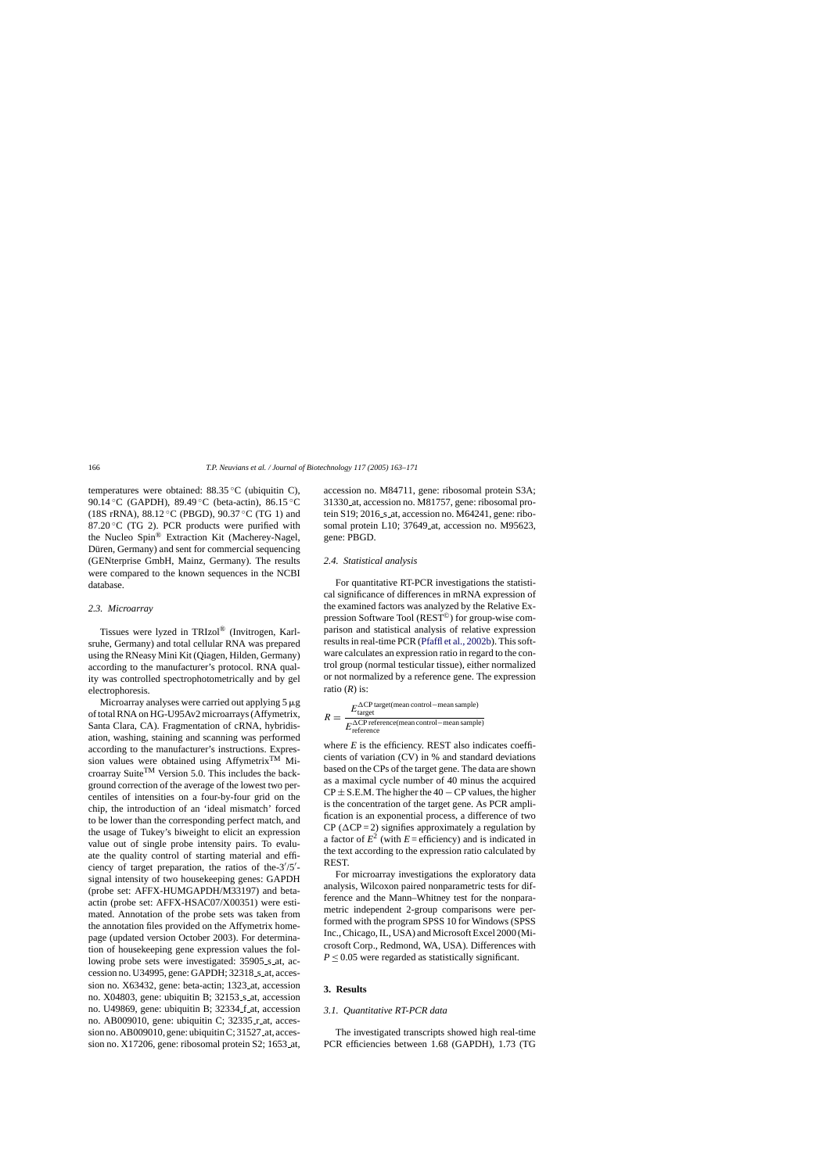temperatures were obtained: 88.35 ◦C (ubiquitin C), 90.14 °C (GAPDH), 89.49 °C (beta-actin), 86.15 °C (18S rRNA),  $88.12 \degree$ C (PBGD),  $90.37 \degree$ C (TG 1) and 87.20 $\mathrm{^{\circ}C}$  (TG 2). PCR products were purified with the Nucleo Spin® Extraction Kit (Macherey-Nagel, Düren, Germany) and sent for commercial sequencing (GENterprise GmbH, Mainz, Germany). The results were compared to the known sequences in the NCBI database.

### *2.3. Microarray*

Tissues were lyzed in TRIzol® (Invitrogen, Karlsruhe, Germany) and total cellular RNA was prepared using the RNeasy Mini Kit (Qiagen, Hilden, Germany) according to the manufacturer's protocol. RNA quality was controlled spectrophotometrically and by gel electrophoresis.

Microarray analyses were carried out applying  $5 \mu g$ of total RNA on HG-U95Av2 microarrays (Affymetrix, Santa Clara, CA). Fragmentation of cRNA, hybridisation, washing, staining and scanning was performed according to the manufacturer's instructions. Expression values were obtained using Affymetrix<sup>TM</sup> Microarray SuiteTM Version 5.0. This includes the background correction of the average of the lowest two percentiles of intensities on a four-by-four grid on the chip, the introduction of an 'ideal mismatch' forced to be lower than the corresponding perfect match, and the usage of Tukey's biweight to elicit an expression value out of single probe intensity pairs. To evaluate the quality control of starting material and efficiency of target preparation, the ratios of the-3 /5 signal intensity of two housekeeping genes: GAPDH (probe set: AFFX-HUMGAPDH/M33197) and betaactin (probe set: AFFX-HSAC07/X00351) were estimated. Annotation of the probe sets was taken from the annotation files provided on the Affymetrix homepage (updated version October 2003). For determination of housekeeping gene expression values the following probe sets were investigated: 35905<sub>-S-at, ac-</sub> cession no. U34995, gene: GAPDH; 32318\_s\_at, accession no. X63432, gene: beta-actin; 1323<sub>-at, accession</sub> no. X04803, gene: ubiquitin B; 32153<sub>-8-at, accession</sub> no. U49869, gene: ubiquitin B; 32334\_f\_at, accession no. AB009010, gene: ubiquitin C; 32335\_r\_at, accession no. AB009010, gene: ubiquitin C;  $31527$  at, accession no. X17206, gene: ribosomal protein S2; 1653 at, accession no. M84711, gene: ribosomal protein S3A; 31330 at, accession no. M81757, gene: ribosomal protein S19; 2016<sub>-S-at</sub>, accession no. M64241, gene: ribosomal protein L10; 37649<sub>-at, accession no. M95623,</sub> gene: PBGD.

#### *2.4. Statistical analysis*

For quantitative RT-PCR investigations the statistical significance of differences in mRNA expression of the examined factors was analyzed by the Relative Expression Software Tool (REST©) for group-wise comparison and statistical analysis of relative expression results in real-time PCR [\(Pfaffl et al., 2002b\).](#page-8-0) This software calculates an expression ratio in regard to the control group (normal testicular tissue), either normalized or not normalized by a reference gene. The expression ratio (*R*) is:

$$
R = \frac{E_{\text{target}}^{\Delta \text{CP target}(\text{mean control} - \text{mean sample})}}{E_{\text{reference}}^{\Delta \text{CP reference}(\text{mean control} - \text{mean sample})}}
$$

where  $E$  is the efficiency. REST also indicates coefficients of variation (CV) in % and standard deviations based on the CPs of the target gene. The data are shown as a maximal cycle number of 40 minus the acquired  $CP \pm S.E.M.$  The higher the 40 – CP values, the higher is the concentration of the target gene. As PCR amplification is an exponential process, a difference of two CP ( $\Delta$ CP = 2) signifies approximately a regulation by a factor of  $E^2$  (with  $E =$  efficiency) and is indicated in the text according to the expression ratio calculated by REST.

For microarray investigations the exploratory data analysis, Wilcoxon paired nonparametric tests for difference and the Mann–Whitney test for the nonparametric independent 2-group comparisons were performed with the program SPSS 10 for Windows (SPSS Inc., Chicago, IL, USA) and Microsoft Excel 2000 (Microsoft Corp., Redmond, WA, USA). Differences with  $P \leq 0.05$  were regarded as statistically significant.

### **3. Results**

#### *3.1. Quantitative RT-PCR data*

The investigated transcripts showed high real-time PCR efficiencies between 1.68 (GAPDH), 1.73 (TG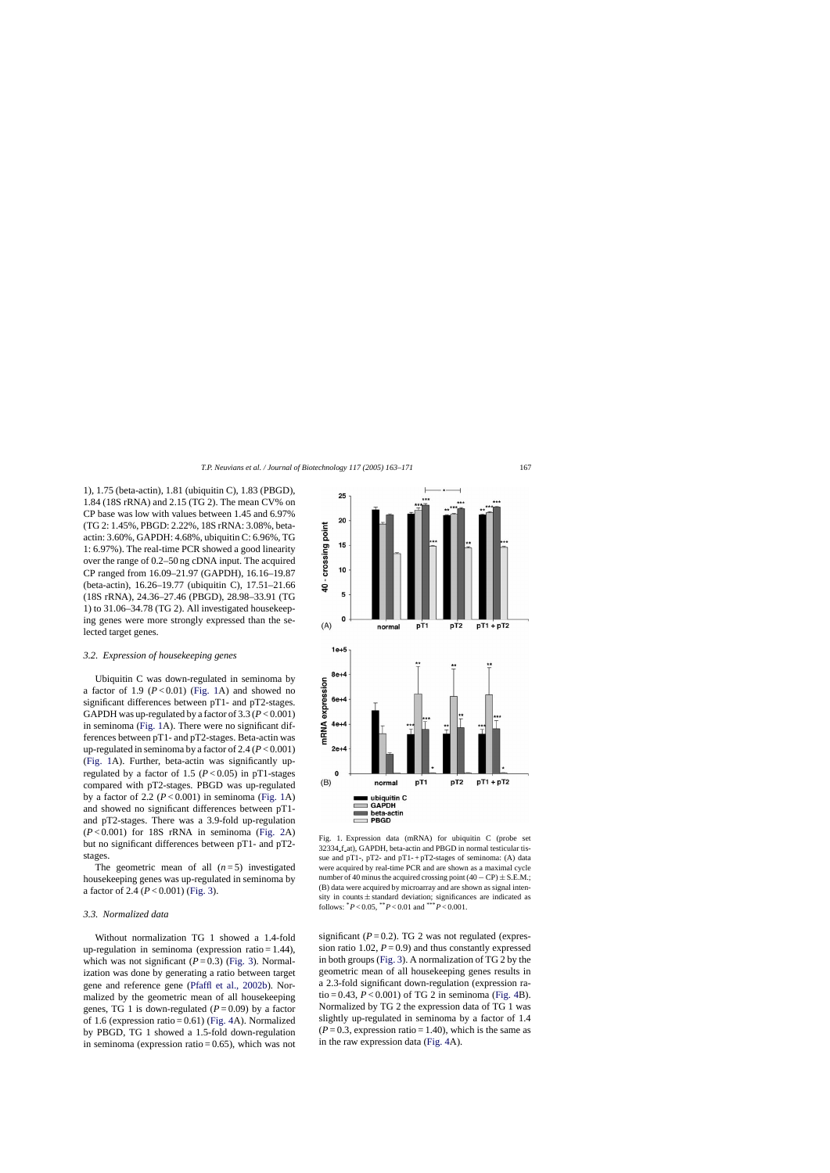<span id="page-4-0"></span>1), 1.75 (beta-actin), 1.81 (ubiquitin C), 1.83 (PBGD), 1.84 (18S rRNA) and 2.15 (TG 2). The mean CV% on CP base was low with values between 1.45 and 6.97% (TG 2: 1.45%, PBGD: 2.22%, 18S rRNA: 3.08%, betaactin: 3.60%, GAPDH: 4.68%, ubiquitin C: 6.96%, TG 1: 6.97%). The real-time PCR showed a good linearity over the range of 0.2–50 ng cDNA input. The acquired CP ranged from 16.09–21.97 (GAPDH), 16.16–19.87 (beta-actin), 16.26–19.77 (ubiquitin C), 17.51–21.66 (18S rRNA), 24.36–27.46 (PBGD), 28.98–33.91 (TG 1) to 31.06–34.78 (TG 2). All investigated housekeeping genes were more strongly expressed than the selected target genes.

#### *3.2. Expression of housekeeping genes*

Ubiquitin C was down-regulated in seminoma by a factor of 1.9  $(P<0.01)$  (Fig. 1A) and showed no significant differences between pT1- and pT2-stages. GAPDH was up-regulated by a factor of  $3.3 (P< 0.001)$ in seminoma (Fig. 1A). There were no significant differences between pT1- and pT2-stages. Beta-actin was up-regulated in seminoma by a factor of 2.4 (*P* < 0.001) (Fig. 1A). Further, beta-actin was significantly upregulated by a factor of 1.5 ( $P < 0.05$ ) in pT1-stages compared with pT2-stages. PBGD was up-regulated by a factor of 2.2  $(P<0.001)$  in seminoma (Fig. 1A) and showed no significant differences between pT1 and pT2-stages. There was a 3.9-fold up-regulation  $(P<0.001)$  for 18S rRNA in seminoma [\(Fig. 2A](#page-5-0)) but no significant differences between pT1- and pT2 stages.

The geometric mean of all  $(n=5)$  investigated housekeeping genes was up-regulated in seminoma by a factor of 2.4 (*P* < 0.001) ([Fig. 3\).](#page-5-0)

### *3.3. Normalized data*

Without normalization TG 1 showed a 1.4-fold up-regulation in seminoma (expression ratio  $= 1.44$ ), which was not significant  $(P=0.3)$  ([Fig. 3\).](#page-5-0) Normalization was done by generating a ratio between target gene and reference gene [\(Pfaffl et al., 2002b\)](#page-8-0). Normalized by the geometric mean of all housekeeping genes, TG 1 is down-regulated  $(P=0.09)$  by a factor of 1.6 (expression ratio =  $0.61$ ) [\(Fig. 4A](#page-6-0)). Normalized by PBGD, TG 1 showed a 1.5-fold down-regulation in seminoma (expression ratio  $= 0.65$ ), which was not



Fig. 1. Expression data (mRNA) for ubiquitin C (probe set 32334 f at), GAPDH, beta-actin and PBGD in normal testicular tissue and pT1-, pT2- and pT1-+pT2-stages of seminoma: (A) data were acquired by real-time PCR and are shown as a maximal cycle number of 40 minus the acquired crossing point  $(40 - CP) \pm S.E.M.$ ; (B) data were acquired by microarray and are shown as signal intensity in counts  $\pm$  standard deviation; significances are indicated as follows:  ${}^*P < 0.05$ ,  ${}^*P < 0.01$  and  ${}^{***}P < 0.001$ .

significant  $(P = 0.2)$ . TG 2 was not regulated (expression ratio 1.02,  $P = 0.9$ ) and thus constantly expressed in both groups [\(Fig. 3\).](#page-5-0) A normalization of TG 2 by the geometric mean of all housekeeping genes results in a 2.3-fold significant down-regulation (expression ratio = 0.43,  $P < 0.001$ ) of TG 2 in seminoma ([Fig. 4B](#page-6-0)). Normalized by TG 2 the expression data of TG 1 was slightly up-regulated in seminoma by a factor of 1.4  $(P = 0.3$ , expression ratio = 1.40), which is the same as in the raw expression data [\(Fig. 4A](#page-6-0)).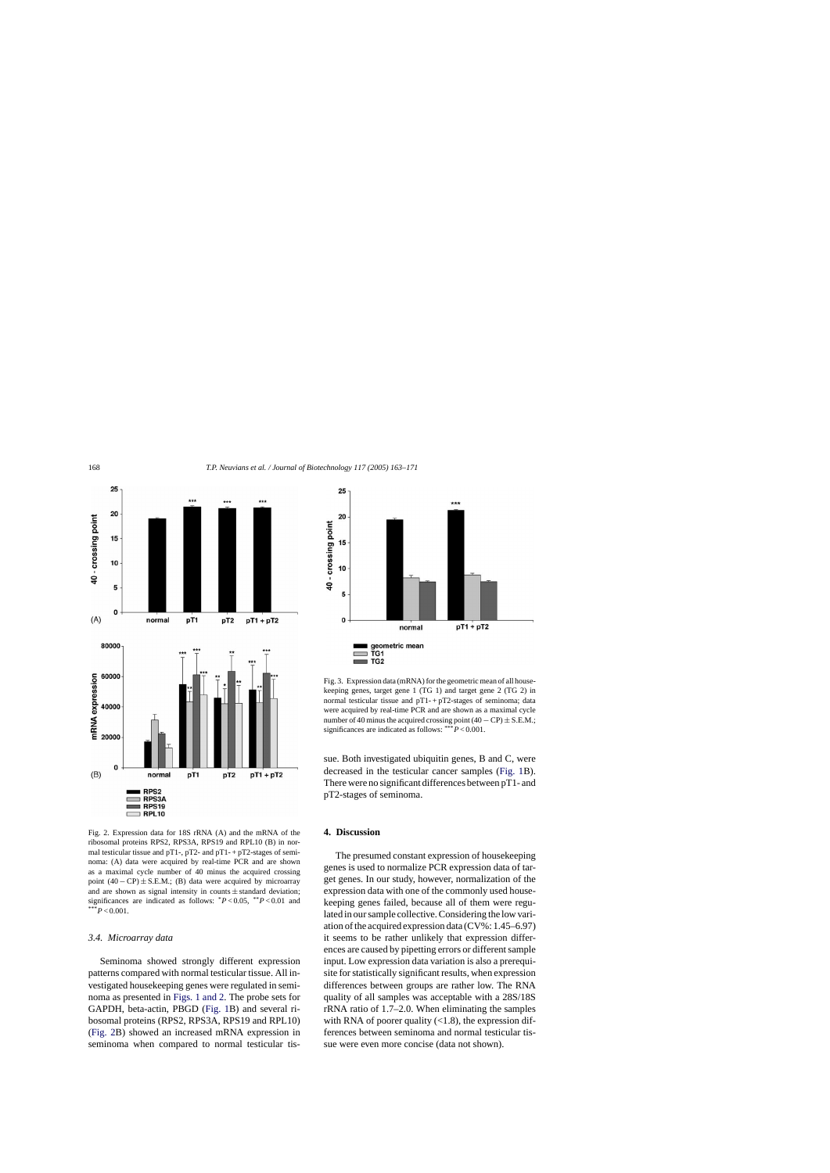<span id="page-5-0"></span>

Fig. 2. Expression data for 18S rRNA (A) and the mRNA of the ribosomal proteins RPS2, RPS3A, RPS19 and RPL10 (B) in normal testicular tissue and pT1-, pT2- and pT1- + pT2-stages of seminoma: (A) data were acquired by real-time PCR and are shown as a maximal cycle number of 40 minus the acquired crossing point  $(40 - CP) \pm S.E.M.;~(B)$  data were acquired by microarray and are shown as signal intensity in counts  $\pm$  standard deviation; significances are indicated as follows: \**P* < 0.05, \*\**P* < 0.01 and  $*P<0.001$ .

#### *3.4. Microarray data*

Seminoma showed strongly different expression patterns compared with normal testicular tissue. All investigated housekeeping genes were regulated in seminoma as presented in [Figs. 1 and 2.](#page-4-0) The probe sets for GAPDH, beta-actin, PBGD [\(Fig. 1B](#page-4-0)) and several ribosomal proteins (RPS2, RPS3A, RPS19 and RPL10) (Fig. 2B) showed an increased mRNA expression in seminoma when compared to normal testicular tis-



Fig. 3. Expression data (mRNA) for the geometric mean of all housekeeping genes, target gene 1 (TG 1) and target gene 2 (TG 2) in normal testicular tissue and  $pT1 - pT2$ -stages of seminoma; data were acquired by real-time PCR and are shown as a maximal cycle number of 40 minus the acquired crossing point  $(40 - CP) \pm S.E.M.$ ; significances are indicated as follows: \*\*\**P* < 0.001.

sue. Both investigated ubiquitin genes, B and C, were decreased in the testicular cancer samples [\(Fig. 1B](#page-4-0)). There were no significant differences between pT1- and pT2-stages of seminoma.

# **4. Discussion**

The presumed constant expression of housekeeping genes is used to normalize PCR expression data of target genes. In our study, however, normalization of the expression data with one of the commonly used housekeeping genes failed, because all of them were regulated in our sample collective. Considering the low variation of the acquired expression data (CV%: 1.45–6.97) it seems to be rather unlikely that expression differences are caused by pipetting errors or different sample input. Low expression data variation is also a prerequisite for statistically significant results, when expression differences between groups are rather low. The RNA quality of all samples was acceptable with a 28S/18S rRNA ratio of 1.7–2.0. When eliminating the samples with RNA of poorer quality  $(<1.8)$ , the expression differences between seminoma and normal testicular tissue were even more concise (data not shown).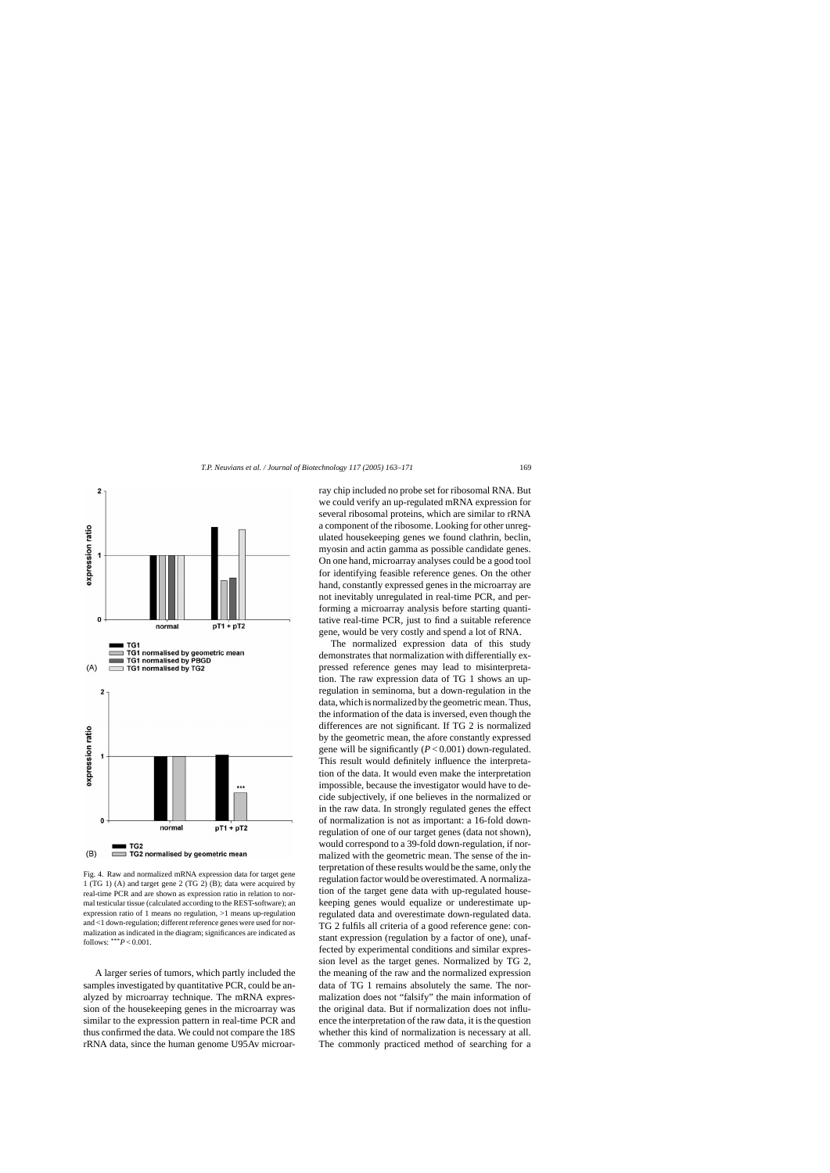<span id="page-6-0"></span>

Fig. 4. Raw and normalized mRNA expression data for target gene 1 (TG 1) (A) and target gene 2 (TG 2) (B); data were acquired by real-time PCR and are shown as expression ratio in relation to normal testicular tissue (calculated according to the REST-software); an expression ratio of 1 means no regulation, >1 means up-regulation and <1 down-regulation; different reference genes were used for normalization as indicated in the diagram; significances are indicated as follows:  $***P<0.001$ .

A larger series of tumors, which partly included the samples investigated by quantitative PCR, could be analyzed by microarray technique. The mRNA expression of the housekeeping genes in the microarray was similar to the expression pattern in real-time PCR and thus confirmed the data. We could not compare the 18S rRNA data, since the human genome U95Av microarray chip included no probe set for ribosomal RNA. But we could verify an up-regulated mRNA expression for several ribosomal proteins, which are similar to rRNA a component of the ribosome. Looking for other unregulated housekeeping genes we found clathrin, beclin, myosin and actin gamma as possible candidate genes. On one hand, microarray analyses could be a good tool for identifying feasible reference genes. On the other hand, constantly expressed genes in the microarray are not inevitably unregulated in real-time PCR, and performing a microarray analysis before starting quantitative real-time PCR, just to find a suitable reference gene, would be very costly and spend a lot of RNA.

The normalized expression data of this study demonstrates that normalization with differentially expressed reference genes may lead to misinterpretation. The raw expression data of TG 1 shows an upregulation in seminoma, but a down-regulation in the data, which is normalized by the geometric mean. Thus, the information of the data is inversed, even though the differences are not significant. If TG 2 is normalized by the geometric mean, the afore constantly expressed gene will be significantly (*P* < 0.001) down-regulated. This result would definitely influence the interpretation of the data. It would even make the interpretation impossible, because the investigator would have to decide subjectively, if one believes in the normalized or in the raw data. In strongly regulated genes the effect of normalization is not as important: a 16-fold downregulation of one of our target genes (data not shown), would correspond to a 39-fold down-regulation, if normalized with the geometric mean. The sense of the interpretation of these results would be the same, only the regulation factor would be overestimated. A normalization of the target gene data with up-regulated housekeeping genes would equalize or underestimate upregulated data and overestimate down-regulated data. TG 2 fulfils all criteria of a good reference gene: constant expression (regulation by a factor of one), unaffected by experimental conditions and similar expression level as the target genes. Normalized by TG 2, the meaning of the raw and the normalized expression data of TG 1 remains absolutely the same. The normalization does not "falsify" the main information of the original data. But if normalization does not influence the interpretation of the raw data, it is the question whether this kind of normalization is necessary at all. The commonly practiced method of searching for a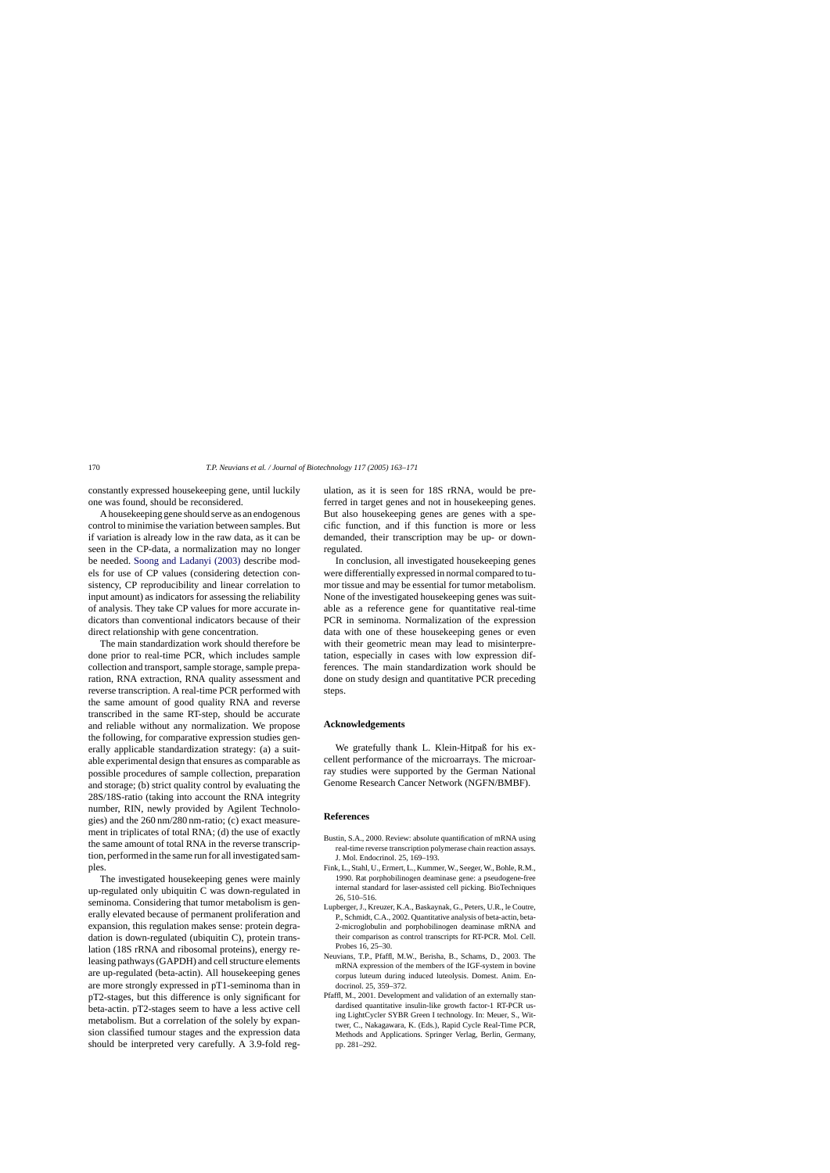<span id="page-7-0"></span>constantly expressed housekeeping gene, until luckily one was found, should be reconsidered.

A housekeeping gene should serve as an endogenous control to minimise the variation between samples. But if variation is already low in the raw data, as it can be seen in the CP-data, a normalization may no longer be needed. [Soong and Ladanyi \(2003\)](#page-8-0) describe models for use of CP values (considering detection consistency, CP reproducibility and linear correlation to input amount) as indicators for assessing the reliability of analysis. They take CP values for more accurate indicators than conventional indicators because of their direct relationship with gene concentration.

The main standardization work should therefore be done prior to real-time PCR, which includes sample collection and transport, sample storage, sample preparation, RNA extraction, RNA quality assessment and reverse transcription. A real-time PCR performed with the same amount of good quality RNA and reverse transcribed in the same RT-step, should be accurate and reliable without any normalization. We propose the following, for comparative expression studies generally applicable standardization strategy: (a) a suitable experimental design that ensures as comparable as possible procedures of sample collection, preparation and storage; (b) strict quality control by evaluating the 28S/18S-ratio (taking into account the RNA integrity number, RIN, newly provided by Agilent Technologies) and the 260 nm/280 nm-ratio; (c) exact measurement in triplicates of total RNA; (d) the use of exactly the same amount of total RNA in the reverse transcription, performed in the same run for all investigated samples.

The investigated housekeeping genes were mainly up-regulated only ubiquitin C was down-regulated in seminoma. Considering that tumor metabolism is generally elevated because of permanent proliferation and expansion, this regulation makes sense: protein degradation is down-regulated (ubiquitin C), protein translation (18S rRNA and ribosomal proteins), energy releasing pathways (GAPDH) and cell structure elements are up-regulated (beta-actin). All housekeeping genes are more strongly expressed in pT1-seminoma than in pT2-stages, but this difference is only significant for beta-actin. pT2-stages seem to have a less active cell metabolism. But a correlation of the solely by expansion classified tumour stages and the expression data should be interpreted very carefully. A 3.9-fold regulation, as it is seen for 18S rRNA, would be preferred in target genes and not in housekeeping genes. But also housekeeping genes are genes with a specific function, and if this function is more or less demanded, their transcription may be up- or downregulated.

In conclusion, all investigated housekeeping genes were differentially expressed in normal compared to tumor tissue and may be essential for tumor metabolism. None of the investigated housekeeping genes was suitable as a reference gene for quantitative real-time PCR in seminoma. Normalization of the expression data with one of these housekeeping genes or even with their geometric mean may lead to misinterpretation, especially in cases with low expression differences. The main standardization work should be done on study design and quantitative PCR preceding steps.

# **Acknowledgements**

We gratefully thank L. Klein-Hitpaß for his excellent performance of the microarrays. The microarray studies were supported by the German National Genome Research Cancer Network (NGFN/BMBF).

#### **References**

- Bustin, S.A., 2000. Review: absolute quantification of mRNA using real-time reverse transcription polymerase chain reaction assays. J. Mol. Endocrinol. 25, 169–193.
- Fink, L., Stahl, U., Ermert, L., Kummer, W., Seeger, W., Bohle, R.M., 1990. Rat porphobilinogen deaminase gene: a pseudogene-free internal standard for laser-assisted cell picking. BioTechniques 26, 510–516.
- Lupberger, J., Kreuzer, K.A., Baskaynak, G., Peters, U.R., le Coutre, P., Schmidt, C.A., 2002. Quantitative analysis of beta-actin, beta-2-microglobulin and porphobilinogen deaminase mRNA and their comparison as control transcripts for RT-PCR. Mol. Cell. Probes 16, 25–30.
- Neuvians, T.P., Pfaffl, M.W., Berisha, B., Schams, D., 2003. The mRNA expression of the members of the IGF-system in bovine corpus luteum during induced luteolysis. Domest. Anim. Endocrinol. 25, 359–372.
- Pfaffl, M., 2001. Development and validation of an externally standardised quantitative insulin-like growth factor-1 RT-PCR using LightCycler SYBR Green I technology. In: Meuer, S., Wittwer, C., Nakagawara, K. (Eds.), Rapid Cycle Real-Time PCR, Methods and Applications. Springer Verlag, Berlin, Germany, pp. 281–292.